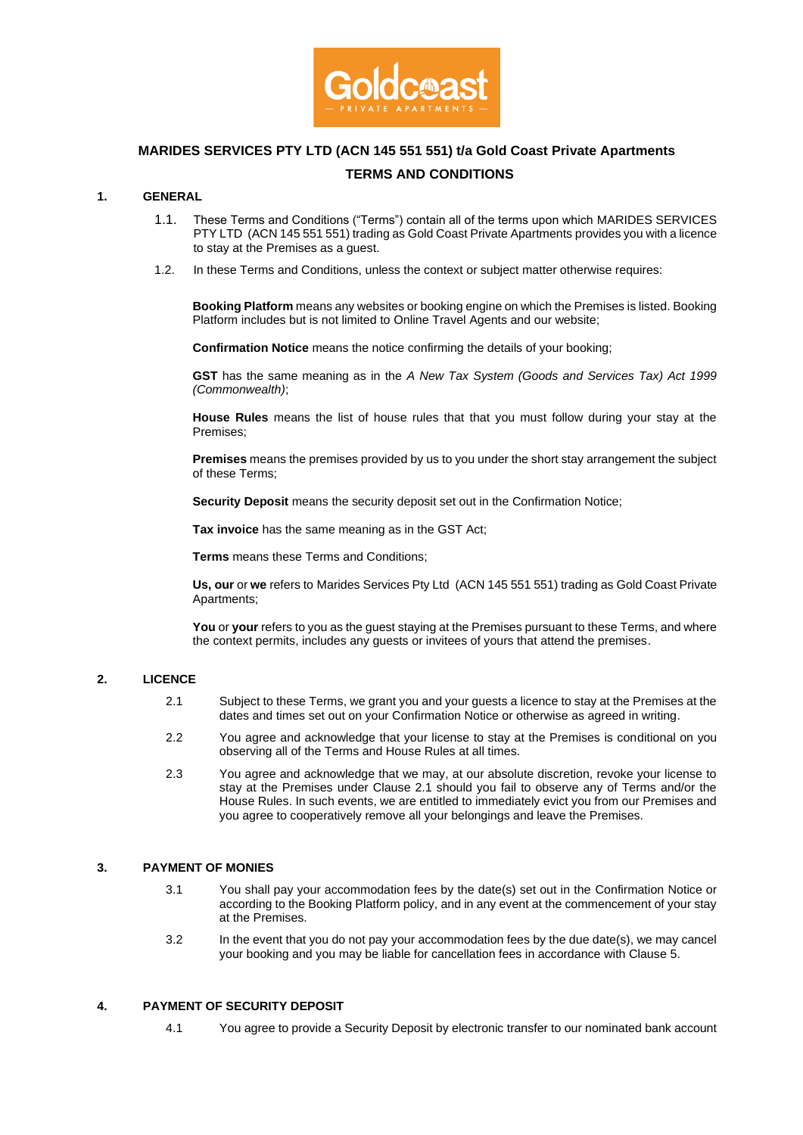

# **MARIDES SERVICES PTY LTD (ACN 145 551 551) t/a Gold Coast Private Apartments TERMS AND CONDITIONS**

### **1. GENERAL**

- 1.1. These Terms and Conditions ("Terms") contain all of the terms upon which MARIDES SERVICES PTY LTD (ACN 145 551 551) trading as Gold Coast Private Apartments provides you with a licence to stay at the Premises as a guest.
- 1.2. In these Terms and Conditions, unless the context or subject matter otherwise requires:

**Booking Platform** means any websites or booking engine on which the Premises is listed. Booking Platform includes but is not limited to Online Travel Agents and our website;

**Confirmation Notice** means the notice confirming the details of your booking;

**GST** has the same meaning as in the *A New Tax System (Goods and Services Tax) Act 1999 (Commonwealth)*;

**House Rules** means the list of house rules that that you must follow during your stay at the Premises;

**Premises** means the premises provided by us to you under the short stay arrangement the subject of these Terms;

**Security Deposit** means the security deposit set out in the Confirmation Notice;

**Tax invoice** has the same meaning as in the GST Act;

**Terms** means these Terms and Conditions;

**Us, our** or **we** refers to Marides Services Pty Ltd (ACN 145 551 551) trading as Gold Coast Private Apartments;

You or your refers to you as the guest staying at the Premises pursuant to these Terms, and where the context permits, includes any guests or invitees of yours that attend the premises.

#### **2. LICENCE**

- 2.1 Subject to these Terms, we grant you and your guests a licence to stay at the Premises at the dates and times set out on your Confirmation Notice or otherwise as agreed in writing.
- 2.2 You agree and acknowledge that your license to stay at the Premises is conditional on you observing all of the Terms and House Rules at all times.
- 2.3 You agree and acknowledge that we may, at our absolute discretion, revoke your license to stay at the Premises under Clause 2.1 should you fail to observe any of Terms and/or the House Rules. In such events, we are entitled to immediately evict you from our Premises and you agree to cooperatively remove all your belongings and leave the Premises.

#### **3. PAYMENT OF MONIES**

- 3.1 You shall pay your accommodation fees by the date(s) set out in the Confirmation Notice or according to the Booking Platform policy, and in any event at the commencement of your stay at the Premises.
- 3.2 In the event that you do not pay your accommodation fees by the due date(s), we may cancel your booking and you may be liable for cancellation fees in accordance with Clause [5.](#page-1-0)

#### **4. PAYMENT OF SECURITY DEPOSIT**

4.1 You agree to provide a Security Deposit by electronic transfer to our nominated bank account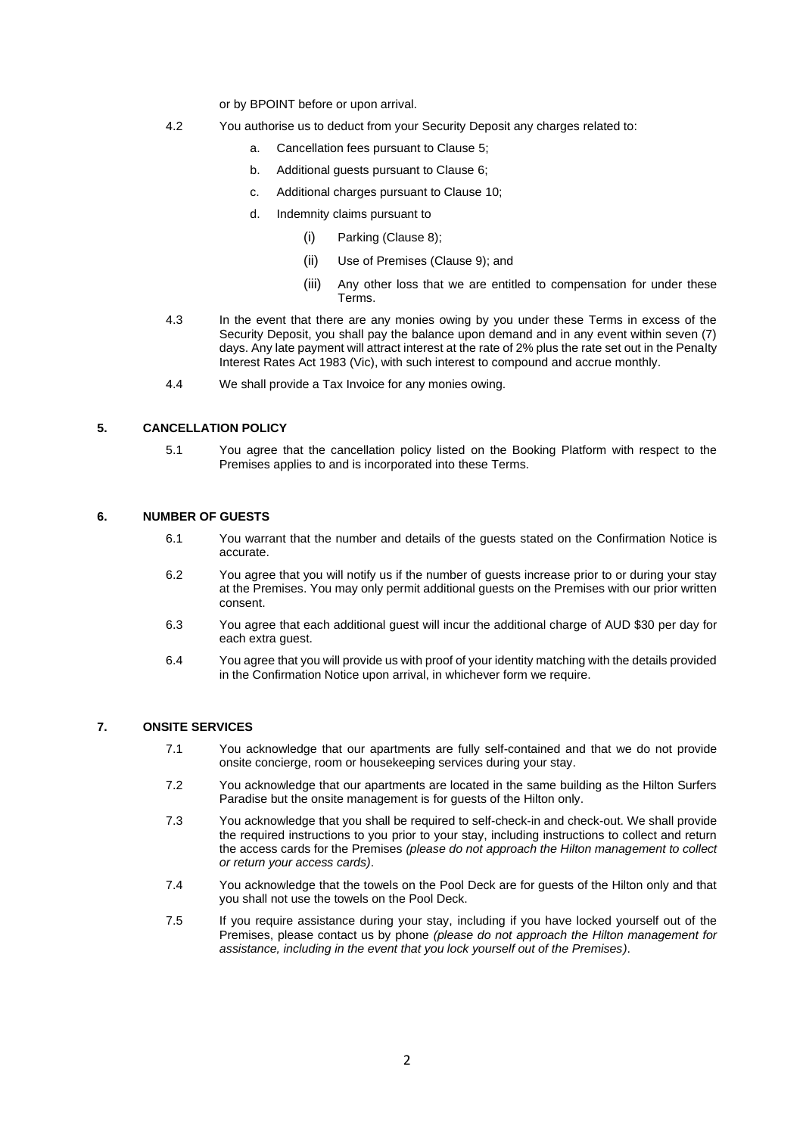or by BPOINT before or upon arrival.

- 4.2 You authorise us to deduct from your Security Deposit any charges related to:
	- a. Cancellation fees pursuant to Clause [5;](#page-1-0)
	- b. Additional guests pursuant to Clause [6;](#page-1-1)
	- c. Additional charges pursuant to Clause [10;](#page-3-0)
	- d. Indemnity claims pursuant to
		- (i) Parking (Clause [8\)](#page-2-0);
		- (ii) Use of Premises (Clause [9\)](#page-2-1); and
		- (iii) Any other loss that we are entitled to compensation for under these Terms.
- 4.3 In the event that there are any monies owing by you under these Terms in excess of the Security Deposit, you shall pay the balance upon demand and in any event within seven (7) days. Any late payment will attract interest at the rate of 2% plus the rate set out in the Penalty Interest Rates Act 1983 (Vic), with such interest to compound and accrue monthly.
- 4.4 We shall provide a Tax Invoice for any monies owing.

# <span id="page-1-0"></span>**5. CANCELLATION POLICY**

5.1 You agree that the cancellation policy listed on the Booking Platform with respect to the Premises applies to and is incorporated into these Terms.

#### <span id="page-1-1"></span>**6. NUMBER OF GUESTS**

- 6.1 You warrant that the number and details of the guests stated on the Confirmation Notice is accurate.
- 6.2 You agree that you will notify us if the number of guests increase prior to or during your stay at the Premises. You may only permit additional guests on the Premises with our prior written consent.
- 6.3 You agree that each additional guest will incur the additional charge of AUD \$30 per day for each extra guest.
- 6.4 You agree that you will provide us with proof of your identity matching with the details provided in the Confirmation Notice upon arrival, in whichever form we require.

### **7. ONSITE SERVICES**

- 7.1 You acknowledge that our apartments are fully self-contained and that we do not provide onsite concierge, room or housekeeping services during your stay.
- 7.2 You acknowledge that our apartments are located in the same building as the Hilton Surfers Paradise but the onsite management is for guests of the Hilton only.
- 7.3 You acknowledge that you shall be required to self-check-in and check-out. We shall provide the required instructions to you prior to your stay, including instructions to collect and return the access cards for the Premises *(please do not approach the Hilton management to collect or return your access cards)*.
- 7.4 You acknowledge that the towels on the Pool Deck are for guests of the Hilton only and that you shall not use the towels on the Pool Deck.
- 7.5 If you require assistance during your stay, including if you have locked yourself out of the Premises, please contact us by phone *(please do not approach the Hilton management for assistance, including in the event that you lock yourself out of the Premises)*.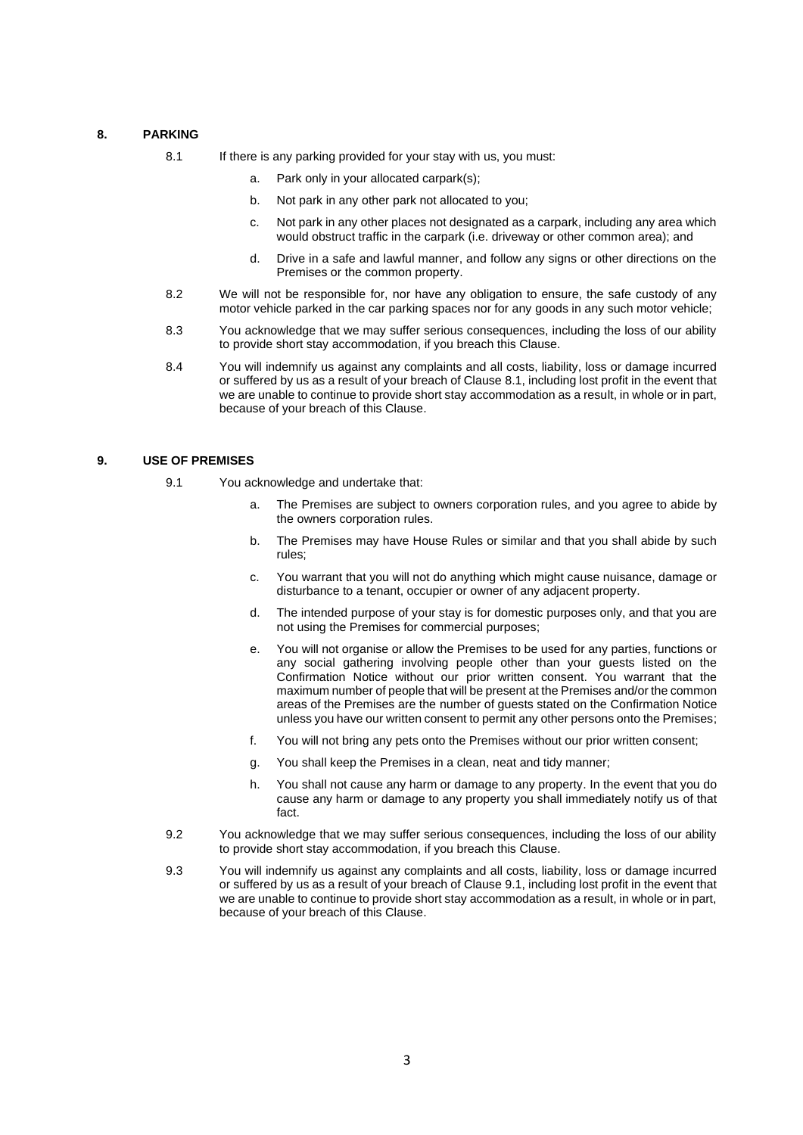# <span id="page-2-2"></span><span id="page-2-0"></span>**8. PARKING**

- 8.1 If there is any parking provided for your stay with us, you must:
	- a. Park only in your allocated carpark(s);
	- b. Not park in any other park not allocated to you;
	- c. Not park in any other places not designated as a carpark, including any area which would obstruct traffic in the carpark (i.e. driveway or other common area); and
	- d. Drive in a safe and lawful manner, and follow any signs or other directions on the Premises or the common property.
- 8.2 We will not be responsible for, nor have any obligation to ensure, the safe custody of any motor vehicle parked in the car parking spaces nor for any goods in any such motor vehicle;
- 8.3 You acknowledge that we may suffer serious consequences, including the loss of our ability to provide short stay accommodation, if you breach this Clause.
- 8.4 You will indemnify us against any complaints and all costs, liability, loss or damage incurred or suffered by us as a result of your breach of Claus[e 8.1,](#page-2-2) including lost profit in the event that we are unable to continue to provide short stay accommodation as a result, in whole or in part, because of your breach of this Clause.

#### <span id="page-2-3"></span><span id="page-2-1"></span>**9. USE OF PREMISES**

- 9.1 You acknowledge and undertake that:
	- a. The Premises are subject to owners corporation rules, and you agree to abide by the owners corporation rules.
	- b. The Premises may have House Rules or similar and that you shall abide by such rules;
	- c. You warrant that you will not do anything which might cause nuisance, damage or disturbance to a tenant, occupier or owner of any adjacent property.
	- d. The intended purpose of your stay is for domestic purposes only, and that you are not using the Premises for commercial purposes;
	- e. You will not organise or allow the Premises to be used for any parties, functions or any social gathering involving people other than your guests listed on the Confirmation Notice without our prior written consent. You warrant that the maximum number of people that will be present at the Premises and/or the common areas of the Premises are the number of guests stated on the Confirmation Notice unless you have our written consent to permit any other persons onto the Premises;
	- f. You will not bring any pets onto the Premises without our prior written consent;
	- g. You shall keep the Premises in a clean, neat and tidy manner;
	- h. You shall not cause any harm or damage to any property. In the event that you do cause any harm or damage to any property you shall immediately notify us of that fact.
- 9.2 You acknowledge that we may suffer serious consequences, including the loss of our ability to provide short stay accommodation, if you breach this Clause.
- 9.3 You will indemnify us against any complaints and all costs, liability, loss or damage incurred or suffered by us as a result of your breach of Claus[e 9.1,](#page-2-3) including lost profit in the event that we are unable to continue to provide short stay accommodation as a result, in whole or in part, because of your breach of this Clause.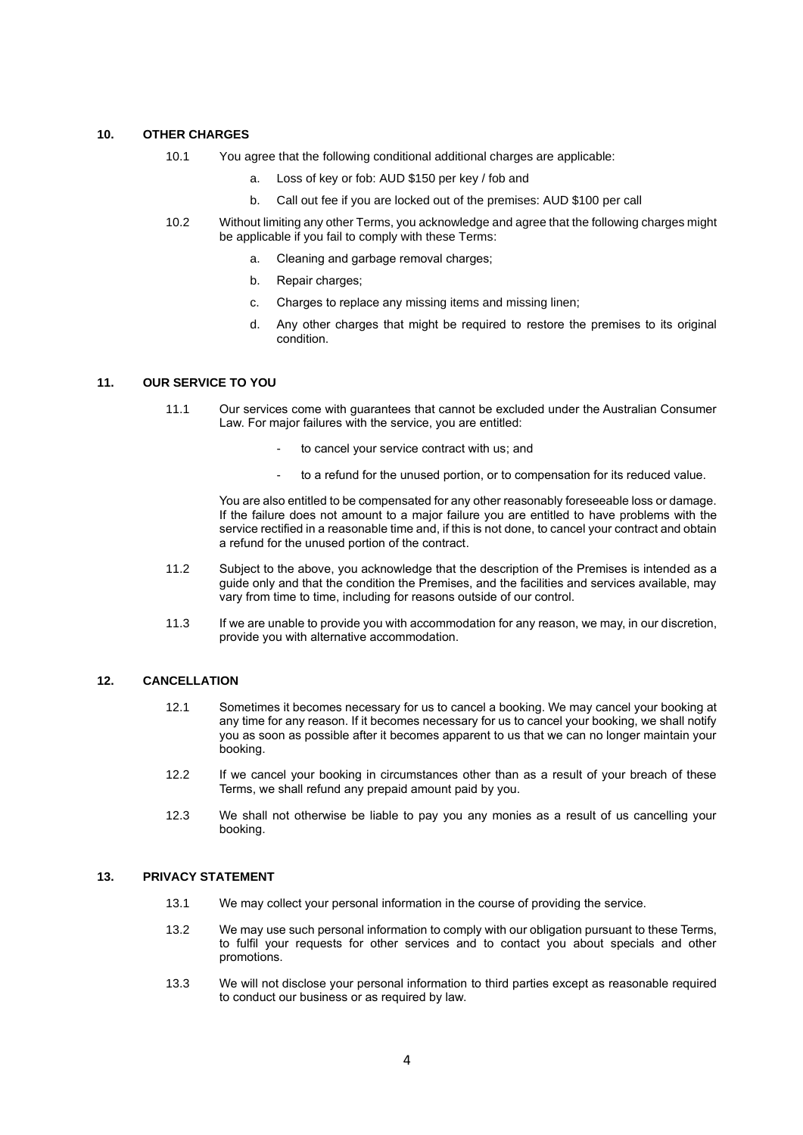## <span id="page-3-0"></span>**10. OTHER CHARGES**

- 10.1 You agree that the following conditional additional charges are applicable:
	- a. Loss of key or fob: AUD \$150 per key / fob and
	- b. Call out fee if you are locked out of the premises: AUD \$100 per call
- 10.2 Without limiting any other Terms, you acknowledge and agree that the following charges might be applicable if you fail to comply with these Terms:
	- a. Cleaning and garbage removal charges;
	- b. Repair charges;
	- c. Charges to replace any missing items and missing linen;
	- d. Any other charges that might be required to restore the premises to its original condition.

#### **11. OUR SERVICE TO YOU**

- 11.1 Our services come with guarantees that cannot be excluded under the Australian Consumer Law. For major failures with the service, you are entitled:
	- to cancel your service contract with us; and
	- to a refund for the unused portion, or to compensation for its reduced value.

You are also entitled to be compensated for any other reasonably foreseeable loss or damage. If the failure does not amount to a major failure you are entitled to have problems with the service rectified in a reasonable time and, if this is not done, to cancel your contract and obtain a refund for the unused portion of the contract.

- 11.2 Subject to the above, you acknowledge that the description of the Premises is intended as a guide only and that the condition the Premises, and the facilities and services available, may vary from time to time, including for reasons outside of our control.
- 11.3 If we are unable to provide you with accommodation for any reason, we may, in our discretion, provide you with alternative accommodation.

#### **12. CANCELLATION**

- 12.1 Sometimes it becomes necessary for us to cancel a booking. We may cancel your booking at any time for any reason. If it becomes necessary for us to cancel your booking, we shall notify you as soon as possible after it becomes apparent to us that we can no longer maintain your booking.
- 12.2 If we cancel your booking in circumstances other than as a result of your breach of these Terms, we shall refund any prepaid amount paid by you.
- 12.3 We shall not otherwise be liable to pay you any monies as a result of us cancelling your booking.

#### **13. PRIVACY STATEMENT**

- 13.1 We may collect your personal information in the course of providing the service.
- 13.2 We may use such personal information to comply with our obligation pursuant to these Terms, to fulfil your requests for other services and to contact you about specials and other promotions.
- 13.3 We will not disclose your personal information to third parties except as reasonable required to conduct our business or as required by law.